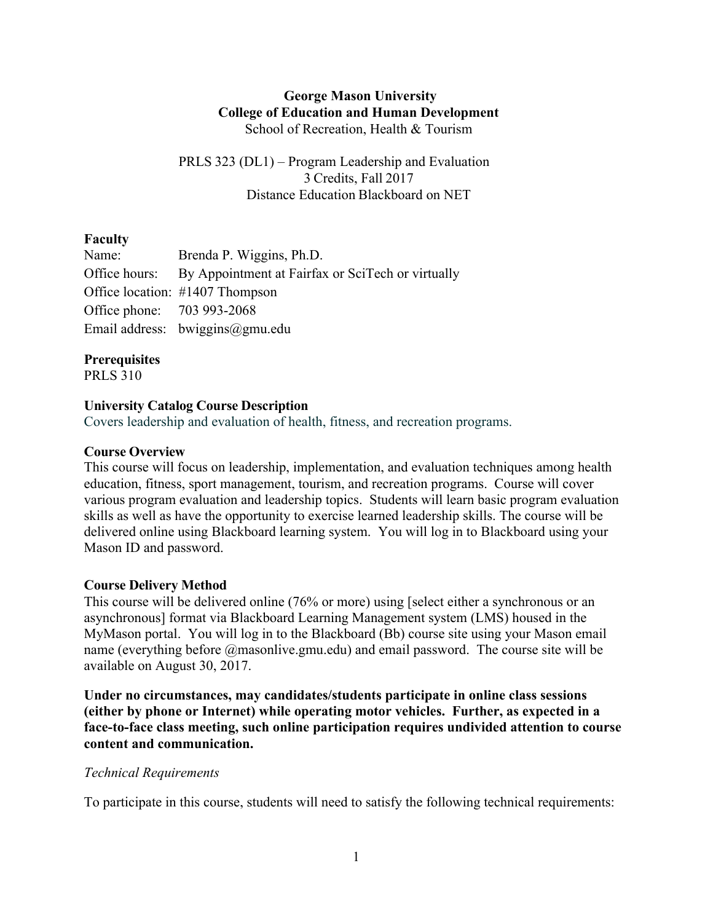#### **George Mason University College of Education and Human Development** School of Recreation, Health & Tourism

PRLS 323 (DL1) – Program Leadership and Evaluation 3 Credits, Fall 2017 Distance Education Blackboard on NET

# **Faculty**

| Name:                      | Brenda P. Wiggins, Ph.D.                                        |
|----------------------------|-----------------------------------------------------------------|
|                            | Office hours: By Appointment at Fairfax or SciTech or virtually |
|                            | Office location: #1407 Thompson                                 |
| Office phone: 703 993-2068 |                                                                 |
|                            | Email address: $bwiggins@gmu.edu$                               |

# **Prerequisites**

PRLS 310

#### **University Catalog Course Description**

Covers leadership and evaluation of health, fitness, and recreation programs.

#### **Course Overview**

This course will focus on leadership, implementation, and evaluation techniques among health education, fitness, sport management, tourism, and recreation programs. Course will cover various program evaluation and leadership topics. Students will learn basic program evaluation skills as well as have the opportunity to exercise learned leadership skills. The course will be delivered online using Blackboard learning system. You will log in to Blackboard using your Mason ID and password.

# **Course Delivery Method**

This course will be delivered online (76% or more) using [select either a synchronous or an asynchronous] format via Blackboard Learning Management system (LMS) housed in the MyMason portal. You will log in to the Blackboard (Bb) course site using your Mason email name (everything before @masonlive.gmu.edu) and email password. The course site will be available on August 30, 2017.

**Under no circumstances, may candidates/students participate in online class sessions (either by phone or Internet) while operating motor vehicles. Further, as expected in a face-to-face class meeting, such online participation requires undivided attention to course content and communication.**

#### *Technical Requirements*

To participate in this course, students will need to satisfy the following technical requirements: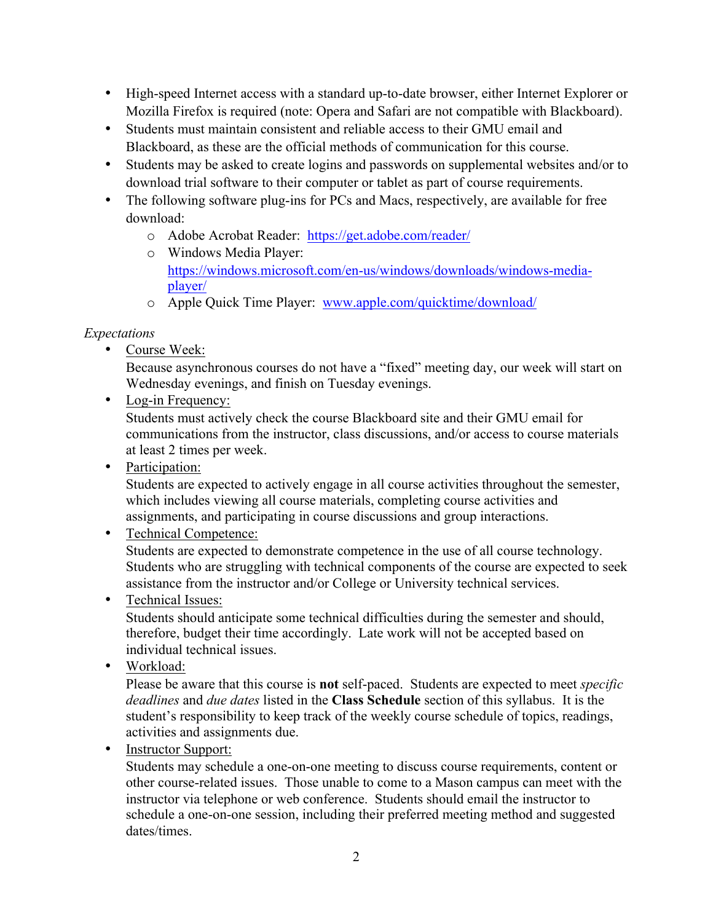- High-speed Internet access with a standard up-to-date browser, either Internet Explorer or Mozilla Firefox is required (note: Opera and Safari are not compatible with Blackboard).
- Students must maintain consistent and reliable access to their GMU email and Blackboard, as these are the official methods of communication for this course.
- Students may be asked to create logins and passwords on supplemental websites and/or to download trial software to their computer or tablet as part of course requirements.
- The following software plug-ins for PCs and Macs, respectively, are available for free download:
	- o Adobe Acrobat Reader: https://get.adobe.com/reader/
	- o Windows Media Player: https://windows.microsoft.com/en-us/windows/downloads/windows-mediaplayer/
	- o Apple Quick Time Player: www.apple.com/quicktime/download/

# *Expectations*

• Course Week:

Because asynchronous courses do not have a "fixed" meeting day, our week will start on Wednesday evenings, and finish on Tuesday evenings.

• Log-in Frequency:

Students must actively check the course Blackboard site and their GMU email for communications from the instructor, class discussions, and/or access to course materials at least 2 times per week.

• Participation:

Students are expected to actively engage in all course activities throughout the semester, which includes viewing all course materials, completing course activities and assignments, and participating in course discussions and group interactions.

• Technical Competence:

Students are expected to demonstrate competence in the use of all course technology. Students who are struggling with technical components of the course are expected to seek assistance from the instructor and/or College or University technical services.

• Technical Issues:

Students should anticipate some technical difficulties during the semester and should, therefore, budget their time accordingly. Late work will not be accepted based on individual technical issues.

• Workload:

Please be aware that this course is **not** self-paced. Students are expected to meet *specific deadlines* and *due dates* listed in the **Class Schedule** section of this syllabus. It is the student's responsibility to keep track of the weekly course schedule of topics, readings, activities and assignments due.

• Instructor Support:

Students may schedule a one-on-one meeting to discuss course requirements, content or other course-related issues. Those unable to come to a Mason campus can meet with the instructor via telephone or web conference. Students should email the instructor to schedule a one-on-one session, including their preferred meeting method and suggested dates/times.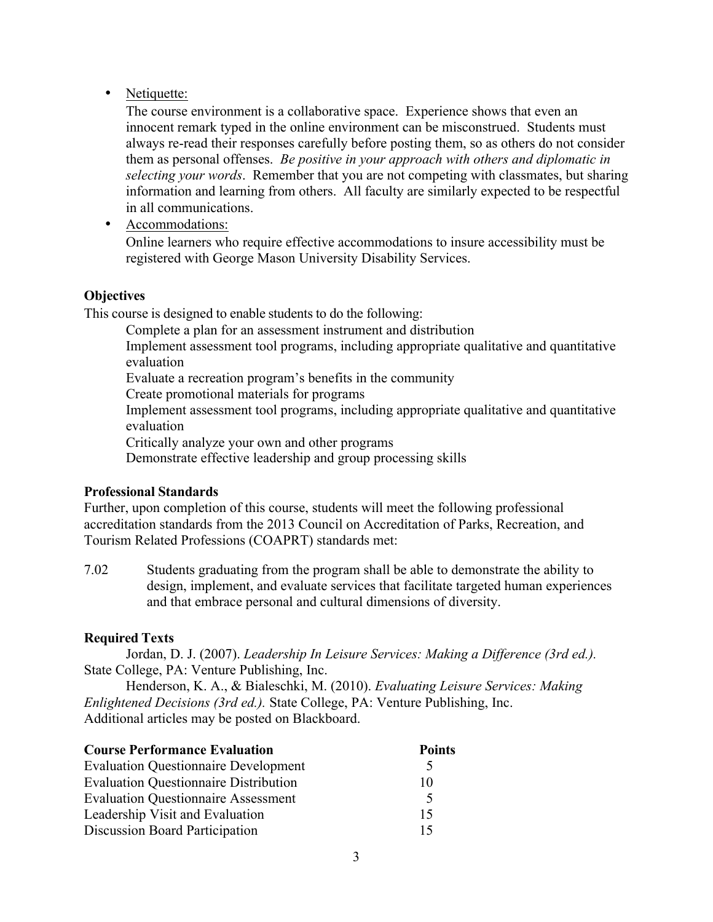# • Netiquette:

The course environment is a collaborative space. Experience shows that even an innocent remark typed in the online environment can be misconstrued. Students must always re-read their responses carefully before posting them, so as others do not consider them as personal offenses. *Be positive in your approach with others and diplomatic in selecting your words*. Remember that you are not competing with classmates, but sharing information and learning from others. All faculty are similarly expected to be respectful in all communications.

• Accommodations:

Online learners who require effective accommodations to insure accessibility must be registered with George Mason University Disability Services.

# **Objectives**

This course is designed to enable students to do the following:

Complete a plan for an assessment instrument and distribution

Implement assessment tool programs, including appropriate qualitative and quantitative evaluation

Evaluate a recreation program's benefits in the community

Create promotional materials for programs

Implement assessment tool programs, including appropriate qualitative and quantitative evaluation

Critically analyze your own and other programs

Demonstrate effective leadership and group processing skills

# **Professional Standards**

Further, upon completion of this course, students will meet the following professional accreditation standards from the 2013 Council on Accreditation of Parks, Recreation, and Tourism Related Professions (COAPRT) standards met:

7.02 Students graduating from the program shall be able to demonstrate the ability to design, implement, and evaluate services that facilitate targeted human experiences and that embrace personal and cultural dimensions of diversity.

# **Required Texts**

Jordan, D. J. (2007). *Leadership In Leisure Services: Making a Difference (3rd ed.).*  State College, PA: Venture Publishing, Inc.

Henderson, K. A., & Bialeschki, M. (2010). *Evaluating Leisure Services: Making Enlightened Decisions (3rd ed.).* State College, PA: Venture Publishing, Inc. Additional articles may be posted on Blackboard.

| <b>Course Performance Evaluation</b>         | <b>Points</b> |
|----------------------------------------------|---------------|
| <b>Evaluation Questionnaire Development</b>  | $\Delta$      |
| <b>Evaluation Questionnaire Distribution</b> | 10            |
| <b>Evaluation Questionnaire Assessment</b>   | 5             |
| Leadership Visit and Evaluation              | 15            |
| Discussion Board Participation               | 15            |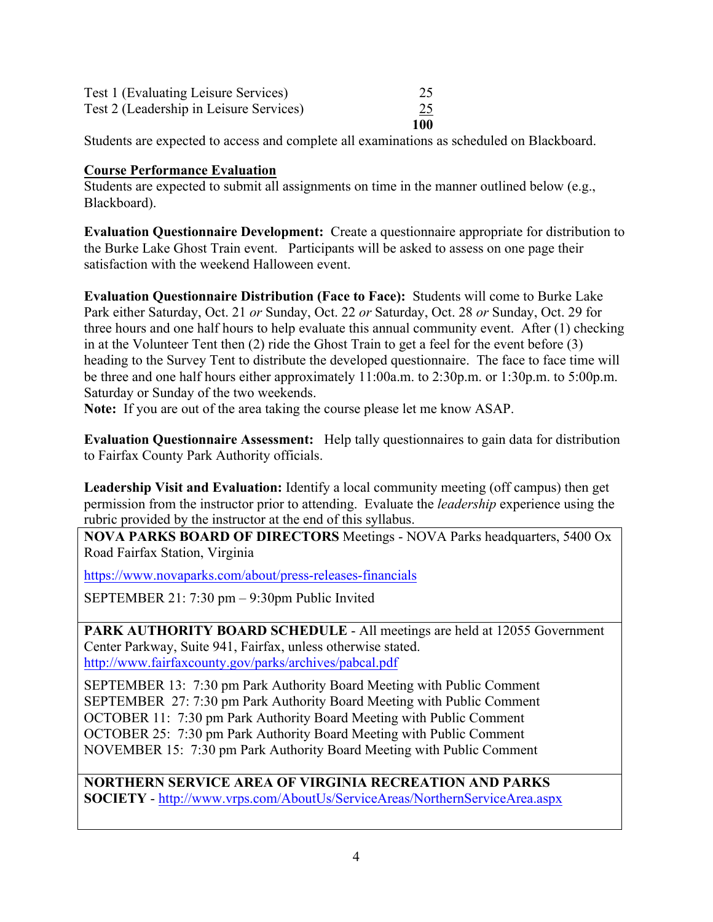| Test 1 (Evaluating Leisure Services)    | 25  |
|-----------------------------------------|-----|
| Test 2 (Leadership in Leisure Services) | 25  |
|                                         | 100 |

Students are expected to access and complete all examinations as scheduled on Blackboard.

#### **Course Performance Evaluation**

Students are expected to submit all assignments on time in the manner outlined below (e.g., Blackboard).

**Evaluation Questionnaire Development:** Create a questionnaire appropriate for distribution to the Burke Lake Ghost Train event. Participants will be asked to assess on one page their satisfaction with the weekend Halloween event.

**Evaluation Questionnaire Distribution (Face to Face):** Students will come to Burke Lake Park either Saturday, Oct. 21 *or* Sunday, Oct. 22 *or* Saturday, Oct. 28 *or* Sunday, Oct. 29 for three hours and one half hours to help evaluate this annual community event. After (1) checking in at the Volunteer Tent then (2) ride the Ghost Train to get a feel for the event before (3) heading to the Survey Tent to distribute the developed questionnaire. The face to face time will be three and one half hours either approximately 11:00a.m. to 2:30p.m. or 1:30p.m. to 5:00p.m. Saturday or Sunday of the two weekends.

**Note:** If you are out of the area taking the course please let me know ASAP.

**Evaluation Questionnaire Assessment:** Help tally questionnaires to gain data for distribution to Fairfax County Park Authority officials.

**Leadership Visit and Evaluation:** Identify a local community meeting (off campus) then get permission from the instructor prior to attending. Evaluate the *leadership* experience using the rubric provided by the instructor at the end of this syllabus.

**NOVA PARKS BOARD OF DIRECTORS** Meetings - NOVA Parks headquarters, 5400 Ox Road Fairfax Station, Virginia

https://www.novaparks.com/about/press-releases-financials

SEPTEMBER 21: 7:30 pm – 9:30pm Public Invited

**PARK AUTHORITY BOARD SCHEDULE** - All meetings are held at 12055 Government Center Parkway, Suite 941, Fairfax, unless otherwise stated. http://www.fairfaxcounty.gov/parks/archives/pabcal.pdf

SEPTEMBER 13: 7:30 pm Park Authority Board Meeting with Public Comment SEPTEMBER 27: 7:30 pm Park Authority Board Meeting with Public Comment OCTOBER 11: 7:30 pm Park Authority Board Meeting with Public Comment OCTOBER 25: 7:30 pm Park Authority Board Meeting with Public Comment NOVEMBER 15: 7:30 pm Park Authority Board Meeting with Public Comment

**NORTHERN SERVICE AREA OF VIRGINIA RECREATION AND PARKS SOCIETY** - http://www.vrps.com/AboutUs/ServiceAreas/NorthernServiceArea.aspx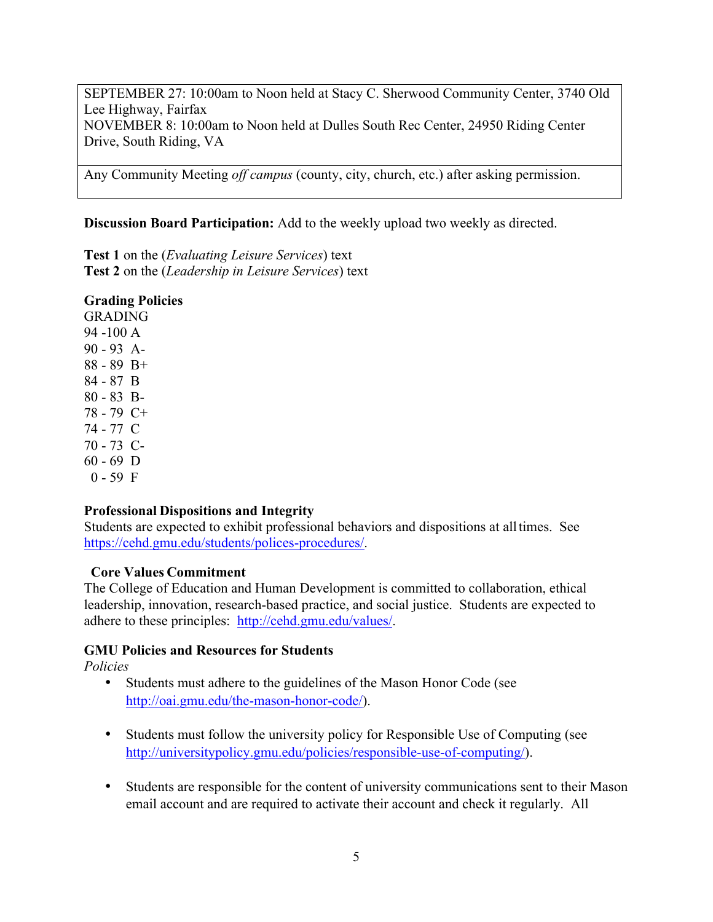SEPTEMBER 27: 10:00am to Noon held at Stacy C. Sherwood Community Center, 3740 Old Lee Highway, Fairfax NOVEMBER 8: 10:00am to Noon held at Dulles South Rec Center, 24950 Riding Center Drive, South Riding, VA

Any Community Meeting *off campus* (county, city, church, etc.) after asking permission.

#### **Discussion Board Participation:** Add to the weekly upload two weekly as directed.

**Test 1** on the (*Evaluating Leisure Services*) text **Test 2** on the (*Leadership in Leisure Services*) text

#### **Grading Policies**

GRADING 94 -100 A 90 - 93 A-88 - 89 B+ 84 - 87 B 80 - 83 B-78 - 79 C+ 74 - 77 C 70 - 73 C-60 - 69 D  $0 - 59$  F

# **Professional Dispositions and Integrity**

Students are expected to exhibit professional behaviors and dispositions at alltimes. See https://cehd.gmu.edu/students/polices-procedures/.

#### **Core Values Commitment**

The College of Education and Human Development is committed to collaboration, ethical leadership, innovation, research-based practice, and social justice. Students are expected to adhere to these principles: http://cehd.gmu.edu/values/.

# **GMU Policies and Resources for Students**

*Policies*

- Students must adhere to the guidelines of the Mason Honor Code (see http://oai.gmu.edu/the-mason-honor-code/).
- Students must follow the university policy for Responsible Use of Computing (see http://universitypolicy.gmu.edu/policies/responsible-use-of-computing/).
- Students are responsible for the content of university communications sent to their Mason email account and are required to activate their account and check it regularly. All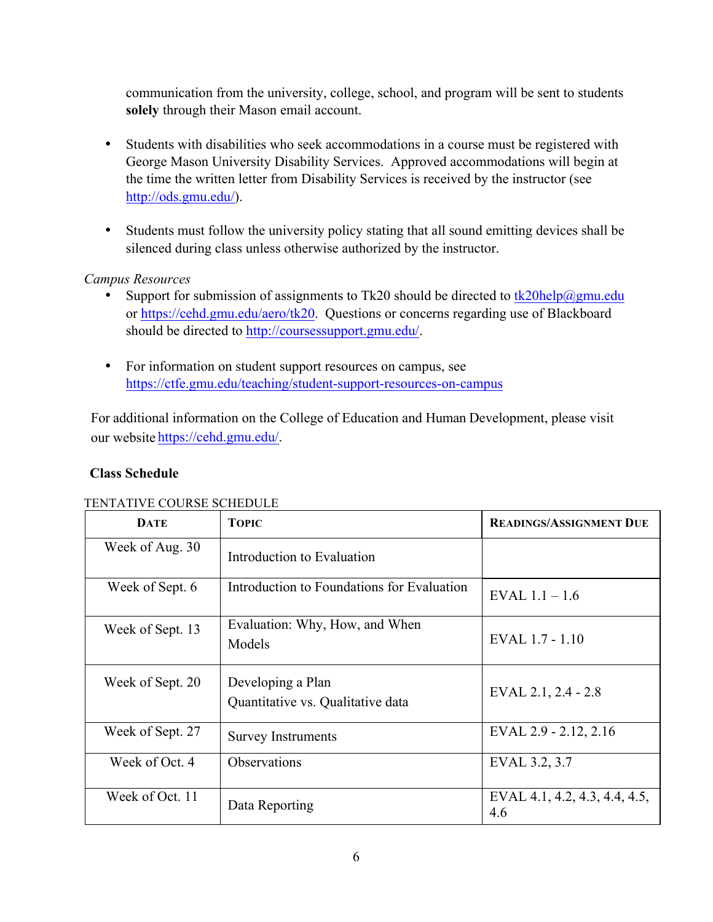communication from the university, college, school, and program will be sent to students **solely** through their Mason email account.

- Students with disabilities who seek accommodations in a course must be registered with George Mason University Disability Services. Approved accommodations will begin at the time the written letter from Disability Services is received by the instructor (see http://ods.gmu.edu/).
- Students must follow the university policy stating that all sound emitting devices shall be silenced during class unless otherwise authorized by the instructor.

# *Campus Resources*

- Support for submission of assignments to Tk20 should be directed to  $tk20$ help $@gmu$ .edu or https://cehd.gmu.edu/aero/tk20. Questions or concerns regarding use of Blackboard should be directed to http://coursessupport.gmu.edu/.
- For information on student support resources on campus, see https://ctfe.gmu.edu/teaching/student-support-resources-on-campus

For additional information on the College of Education and Human Development, please visit our website https://cehd.gmu.edu/.

# **Class Schedule**

#### TENTATIVE COURSE SCHEDULE

| <b>DATE</b>      | <b>TOPIC</b>                                           | <b>READINGS/ASSIGNMENT DUE</b>       |
|------------------|--------------------------------------------------------|--------------------------------------|
| Week of Aug. 30  | Introduction to Evaluation                             |                                      |
| Week of Sept. 6  | Introduction to Foundations for Evaluation             | EVAL $1.1 - 1.6$                     |
| Week of Sept. 13 | Evaluation: Why, How, and When<br>Models               | EVAL 1.7 - 1.10                      |
| Week of Sept. 20 | Developing a Plan<br>Quantitative vs. Qualitative data | EVAL 2.1, 2.4 - 2.8                  |
| Week of Sept. 27 | <b>Survey Instruments</b>                              | EVAL 2.9 - 2.12, 2.16                |
| Week of Oct. 4   | <b>Observations</b>                                    | EVAL 3.2, 3.7                        |
| Week of Oct. 11  | Data Reporting                                         | EVAL 4.1, 4.2, 4.3, 4.4, 4.5,<br>4.6 |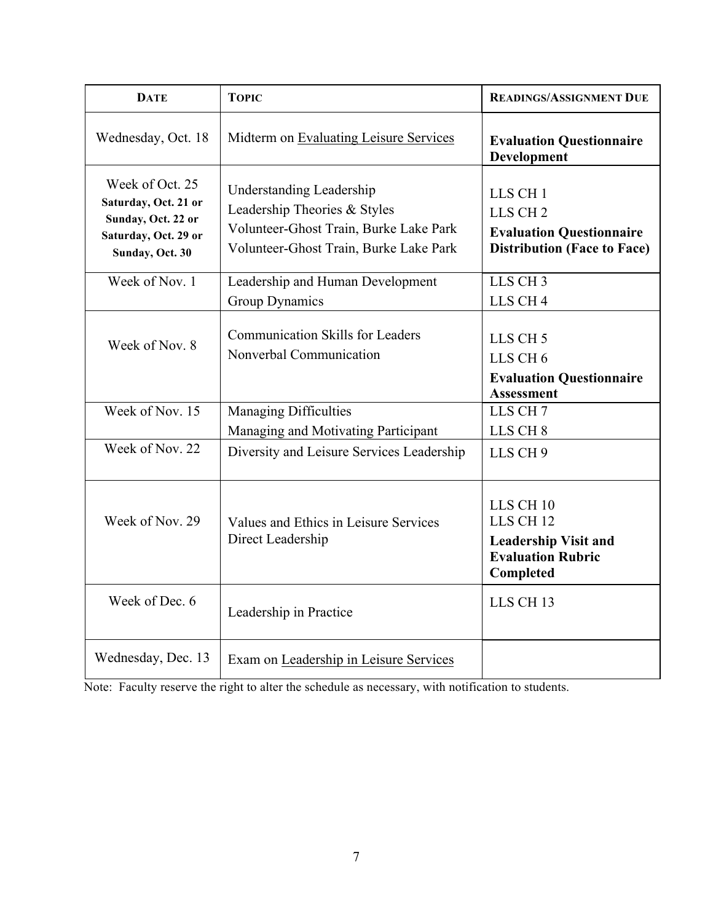| <b>DATE</b>                                                                                              | <b>TOPIC</b>                                                                                                                                        | <b>READINGS/ASSIGNMENT DUE</b>                                                                                       |
|----------------------------------------------------------------------------------------------------------|-----------------------------------------------------------------------------------------------------------------------------------------------------|----------------------------------------------------------------------------------------------------------------------|
| Wednesday, Oct. 18                                                                                       | Midterm on Evaluating Leisure Services                                                                                                              | <b>Evaluation Questionnaire</b><br><b>Development</b>                                                                |
| Week of Oct. 25<br>Saturday, Oct. 21 or<br>Sunday, Oct. 22 or<br>Saturday, Oct. 29 or<br>Sunday, Oct. 30 | <b>Understanding Leadership</b><br>Leadership Theories & Styles<br>Volunteer-Ghost Train, Burke Lake Park<br>Volunteer-Ghost Train, Burke Lake Park | LLS CH <sub>1</sub><br>LLS CH <sub>2</sub><br><b>Evaluation Questionnaire</b><br><b>Distribution (Face to Face)</b>  |
| Week of Nov. 1                                                                                           | Leadership and Human Development<br><b>Group Dynamics</b>                                                                                           | LLS CH <sub>3</sub><br>LLS CH <sub>4</sub>                                                                           |
| Week of Nov. 8                                                                                           | <b>Communication Skills for Leaders</b><br>Nonverbal Communication                                                                                  | LLS CH <sub>5</sub><br>LLS CH <sub>6</sub><br><b>Evaluation Questionnaire</b><br><b>Assessment</b>                   |
| Week of Nov. 15                                                                                          | <b>Managing Difficulties</b><br>Managing and Motivating Participant                                                                                 | LLS CH <sub>7</sub><br>LLS CH <sub>8</sub>                                                                           |
| Week of Nov. 22                                                                                          | Diversity and Leisure Services Leadership                                                                                                           | LLS CH <sub>9</sub>                                                                                                  |
| Week of Nov. 29                                                                                          | Values and Ethics in Leisure Services<br>Direct Leadership                                                                                          | LLS CH <sub>10</sub><br>LLS CH <sub>12</sub><br><b>Leadership Visit and</b><br><b>Evaluation Rubric</b><br>Completed |
| Week of Dec. 6                                                                                           | Leadership in Practice                                                                                                                              | LLS CH <sub>13</sub>                                                                                                 |
| Wednesday, Dec. 13                                                                                       | Exam on Leadership in Leisure Services                                                                                                              |                                                                                                                      |

Note: Faculty reserve the right to alter the schedule as necessary, with notification to students.